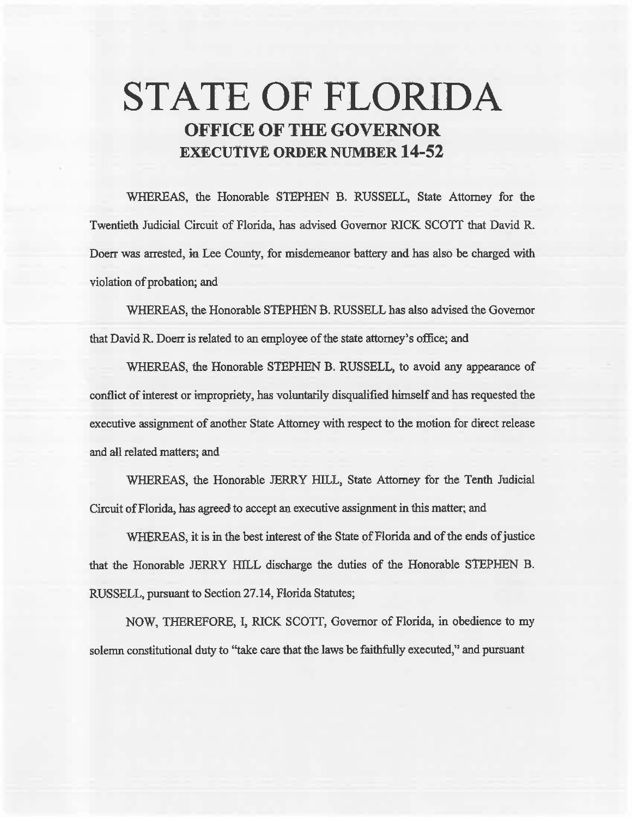# **STATE OF FLORIDA OFFICE OF THE GOVERNOR EXECUTIVE ORDER NUMBER 14-52**

WHEREAS, the Honorable STEPHEN B. RUSSELL, State Attorney for the Twentieth Judicial Circuit of Florida, has advised Governor RICK SCOTT that David R. Doerr was arrested, in Lee County, for misdemeanor battery and has also be charged with violation of probation; and

WHEREAS, the Honorable STEPHEN B. RUSSELL has also advised the Governor that David R. Doerr is related to an employee of the state attorney's office; and

WHEREAS, the Honorable STEPHEN B. RUSSELL, to avoid any appearance of conflict of interest or impropriety, has voluntarily disqualified himself and has requested the executive assignment of another State Attorney with respect to the motion for direct release and all related matters; and

WHEREAS, the Honorable JERRY HILL, State Attorney for the Tenth Judicial Circuit of Florida, has agreed to accept an executive assignment in this matter; and

WHEREAS, it is in the best interest of the State of Florida and of the ends of justice that the Honorable JERRY HILL discharge the duties of the Honorable STEPHEN B. RUSSELL, pursuant to Section 27.14, Florida Statutes;

NOW, THEREFORE, I, RICK SCOTT, Governor of Florida, in obedience to my solemn constitutional duty to "take care that the laws be faithfully executed," and pursuant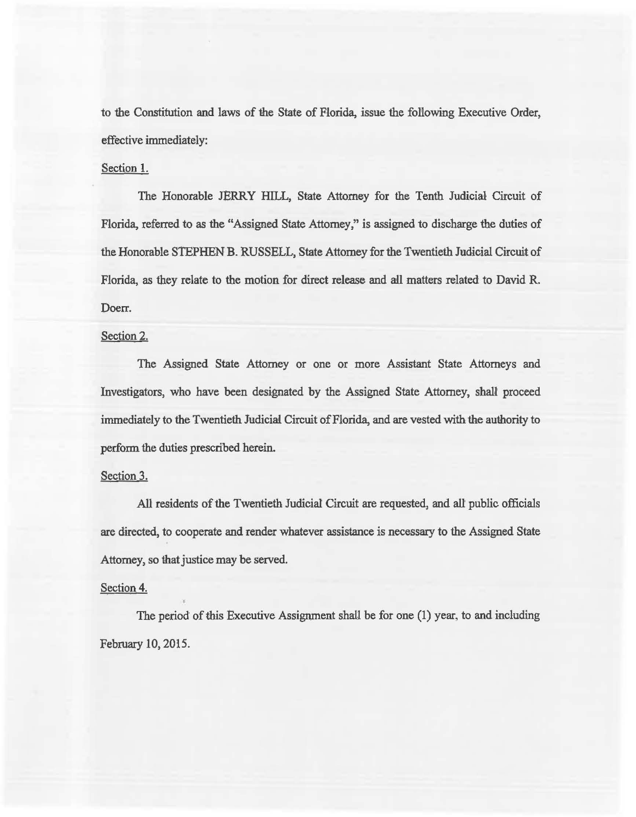to the Constitution and laws of the State of Florida, issue the following Executive Order, effective immediately:

#### Section 1.

The Honorable JERRY HILL, State Attorney for the Tenth Judicial Circuit of Florida, referred to as the "Assigned State Attorney," is assigned to discharge the duties of the Honorable STEPHEN B. RUSSELL, State Attorney for the Twentieth Judicial Circuit of Florida, as they relate to the motion for direct release and all matters related to David R. Doerr.

## Section 2.

The Assigned State Attorney or one or more Assistant State Attorneys and Investigators, who have been designated by the Assigned State Attorney, shall proceed immediately to the Twentieth Judicial Circuit of Florida, and are vested with the authority to perform the duties prescribed herein.

#### Section 3.

All residents of the Twentieth Judicial Circuit are requested, and all public officials are directed, to cooperate and render whatever assistance is necessary to the Assigned State Attorney, so that justice may be served.

## Section 4.

The period of this Executive Assignment shall be for one (I) year, to and including February 10,2015.